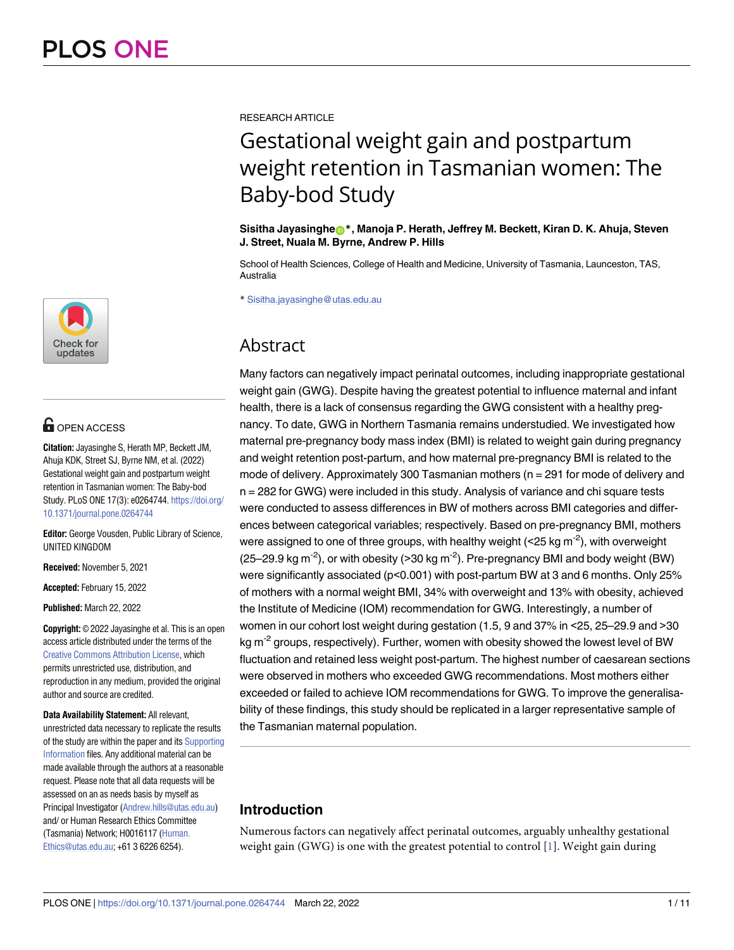

# **G** OPEN ACCESS

**Citation:** Jayasinghe S, Herath MP, Beckett JM, Ahuja KDK, Street SJ, Byrne NM, et al. (2022) Gestational weight gain and postpartum weight retention in Tasmanian women: The Baby-bod Study. PLoS ONE 17(3): e0264744. [https://doi.org/](https://doi.org/10.1371/journal.pone.0264744) [10.1371/journal.pone.0264744](https://doi.org/10.1371/journal.pone.0264744)

**Editor:** George Vousden, Public Library of Science, UNITED KINGDOM

**Received:** November 5, 2021

**Accepted:** February 15, 2022

**Published:** March 22, 2022

**Copyright:** © 2022 Jayasinghe et al. This is an open access article distributed under the terms of the Creative Commons [Attribution](http://creativecommons.org/licenses/by/4.0/) License, which permits unrestricted use, distribution, and reproduction in any medium, provided the original author and source are credited.

**Data Availability Statement:** All relevant, unrestricted data necessary to replicate the results of the study are within the paper and its [Supporting](#page-8-0) [Information](#page-8-0) files. Any additional material can be made available through the authors at a reasonable request. Please note that all data requests will be assessed on an as needs basis by myself as Principal Investigator ([Andrew.hills@utas.edu.au](mailto:Andrew.hills@utas.edu.au)) and/ or Human Research Ethics Committee (Tasmania) Network; H0016117 [\(Human.](mailto:Human.Ethics@utas.edu.au) [Ethics@utas.edu.au](mailto:Human.Ethics@utas.edu.au); +61 3 6226 6254).

<span id="page-0-0"></span>RESEARCH ARTICLE

# Gestational weight gain and postpartum weight retention in Tasmanian women: The Baby-bod Study

**Sisitha Jayasinghe[ID](https://orcid.org/0000-0001-8805-385X)\*, Manoja P. Herath, Jeffrey M. Beckett, Kiran D. K. Ahuja, Steven J. Street, Nuala M. Byrne, Andrew P. Hills**

School of Health Sciences, College of Health and Medicine, University of Tasmania, Launceston, TAS, Australia

\* Sisitha.jayasinghe@utas.edu.au

# Abstract

Many factors can negatively impact perinatal outcomes, including inappropriate gestational weight gain (GWG). Despite having the greatest potential to influence maternal and infant health, there is a lack of consensus regarding the GWG consistent with a healthy pregnancy. To date, GWG in Northern Tasmania remains understudied. We investigated how maternal pre-pregnancy body mass index (BMI) is related to weight gain during pregnancy and weight retention post-partum, and how maternal pre-pregnancy BMI is related to the mode of delivery. Approximately 300 Tasmanian mothers (n = 291 for mode of delivery and n = 282 for GWG) were included in this study. Analysis of variance and chi square tests were conducted to assess differences in BW of mothers across BMI categories and differences between categorical variables; respectively. Based on pre-pregnancy BMI, mothers were assigned to one of three groups, with healthy weight ( $\leq$  25 kg m<sup>-2</sup>), with overweight (25–29.9 kg m<sup>-2</sup>), or with obesity (>30 kg m<sup>-2</sup>). Pre-pregnancy BMI and body weight (BW) were significantly associated (p<0.001) with post-partum BW at 3 and 6 months. Only 25% of mothers with a normal weight BMI, 34% with overweight and 13% with obesity, achieved the Institute of Medicine (IOM) recommendation for GWG. Interestingly, a number of women in our cohort lost weight during gestation (1.5, 9 and 37% in <25, 25–29.9 and >30 kg  $m<sup>-2</sup>$  groups, respectively). Further, women with obesity showed the lowest level of BW fluctuation and retained less weight post-partum. The highest number of caesarean sections were observed in mothers who exceeded GWG recommendations. Most mothers either exceeded or failed to achieve IOM recommendations for GWG. To improve the generalisability of these findings, this study should be replicated in a larger representative sample of the Tasmanian maternal population.

# **Introduction**

Numerous factors can negatively affect perinatal outcomes, arguably unhealthy gestational weight gain (GWG) is one with the greatest potential to control  $[1]$  $[1]$  $[1]$ . Weight gain during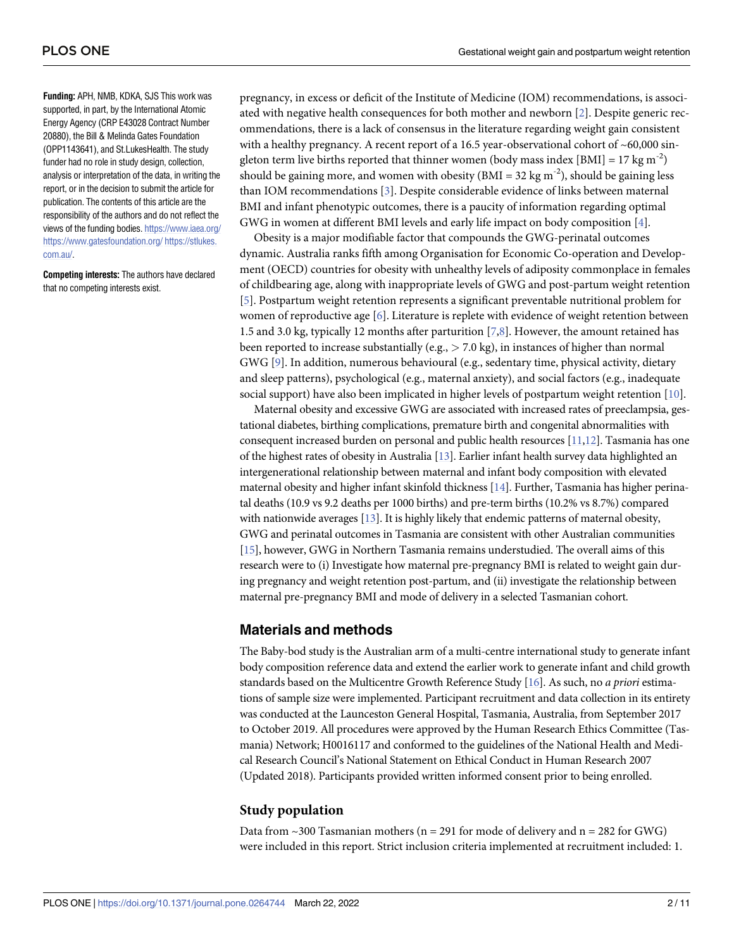<span id="page-1-0"></span>**Funding:** APH, NMB, KDKA, SJS This work was supported, in part, by the International Atomic Energy Agency (CRP E43028 Contract Number 20880), the Bill & Melinda Gates Foundation (OPP1143641), and St.LukesHealth. The study funder had no role in study design, collection, analysis or interpretation of the data, in writing the report, or in the decision to submit the article for publication. The contents of this article are the responsibility of the authors and do not reflect the views of the funding bodies. <https://www.iaea.org/> <https://www.gatesfoundation.org/> [https://stlukes.](https://stlukes.com.au/) [com.au/](https://stlukes.com.au/).

**Competing interests:** The authors have declared that no competing interests exist.

pregnancy, in excess or deficit of the Institute of Medicine (IOM) recommendations, is associated with negative health consequences for both mother and newborn [\[2\]](#page-8-0). Despite generic recommendations, there is a lack of consensus in the literature regarding weight gain consistent with a healthy pregnancy. A recent report of a 16.5 year-observational cohort of ~60,000 singleton term live births reported that thinner women (body mass index [BMI] = 17 kg m<sup>-2</sup>) should be gaining more, and women with obesity  $(BMI = 32 \text{ kg m}^{-2})$ , should be gaining less than IOM recommendations [[3](#page-8-0)]. Despite considerable evidence of links between maternal BMI and infant phenotypic outcomes, there is a paucity of information regarding optimal GWG in women at different BMI levels and early life impact on body composition [[4](#page-8-0)].

Obesity is a major modifiable factor that compounds the GWG-perinatal outcomes dynamic. Australia ranks fifth among Organisation for Economic Co-operation and Development (OECD) countries for obesity with unhealthy levels of adiposity commonplace in females of childbearing age, along with inappropriate levels of GWG and post-partum weight retention [\[5](#page-8-0)]. Postpartum weight retention represents a significant preventable nutritional problem for women of reproductive age  $[6]$  $[6]$ . Literature is replete with evidence of weight retention between 1.5 and 3.0 kg, typically 12 months after parturition [\[7](#page-8-0),[8](#page-9-0)]. However, the amount retained has been reported to increase substantially (e.g., *>* 7.0 kg), in instances of higher than normal GWG [[9](#page-9-0)]. In addition, numerous behavioural (e.g., sedentary time, physical activity, dietary and sleep patterns), psychological (e.g., maternal anxiety), and social factors (e.g., inadequate social support) have also been implicated in higher levels of postpartum weight retention [\[10\]](#page-9-0).

Maternal obesity and excessive GWG are associated with increased rates of preeclampsia, gestational diabetes, birthing complications, premature birth and congenital abnormalities with consequent increased burden on personal and public health resources [[11,12](#page-9-0)]. Tasmania has one of the highest rates of obesity in Australia [[13](#page-9-0)]. Earlier infant health survey data highlighted an intergenerational relationship between maternal and infant body composition with elevated maternal obesity and higher infant skinfold thickness [\[14\]](#page-9-0). Further, Tasmania has higher perinatal deaths (10.9 vs 9.2 deaths per 1000 births) and pre-term births (10.2% vs 8.7%) compared with nationwide averages [\[13\]](#page-9-0). It is highly likely that endemic patterns of maternal obesity, GWG and perinatal outcomes in Tasmania are consistent with other Australian communities [\[15\]](#page-9-0), however, GWG in Northern Tasmania remains understudied. The overall aims of this research were to (i) Investigate how maternal pre-pregnancy BMI is related to weight gain during pregnancy and weight retention post-partum, and (ii) investigate the relationship between maternal pre-pregnancy BMI and mode of delivery in a selected Tasmanian cohort.

# **Materials and methods**

The Baby-bod study is the Australian arm of a multi-centre international study to generate infant body composition reference data and extend the earlier work to generate infant and child growth standards based on the Multicentre Growth Reference Study [[16\]](#page-9-0). As such, no *a priori* estimations of sample size were implemented. Participant recruitment and data collection in its entirety was conducted at the Launceston General Hospital, Tasmania, Australia, from September 2017 to October 2019. All procedures were approved by the Human Research Ethics Committee (Tasmania) Network; H0016117 and conformed to the guidelines of the National Health and Medical Research Council's National Statement on Ethical Conduct in Human Research 2007 (Updated 2018). Participants provided written informed consent prior to being enrolled.

# **Study population**

Data from  $\sim$  300 Tasmanian mothers (n = 291 for mode of delivery and n = 282 for GWG) were included in this report. Strict inclusion criteria implemented at recruitment included: 1.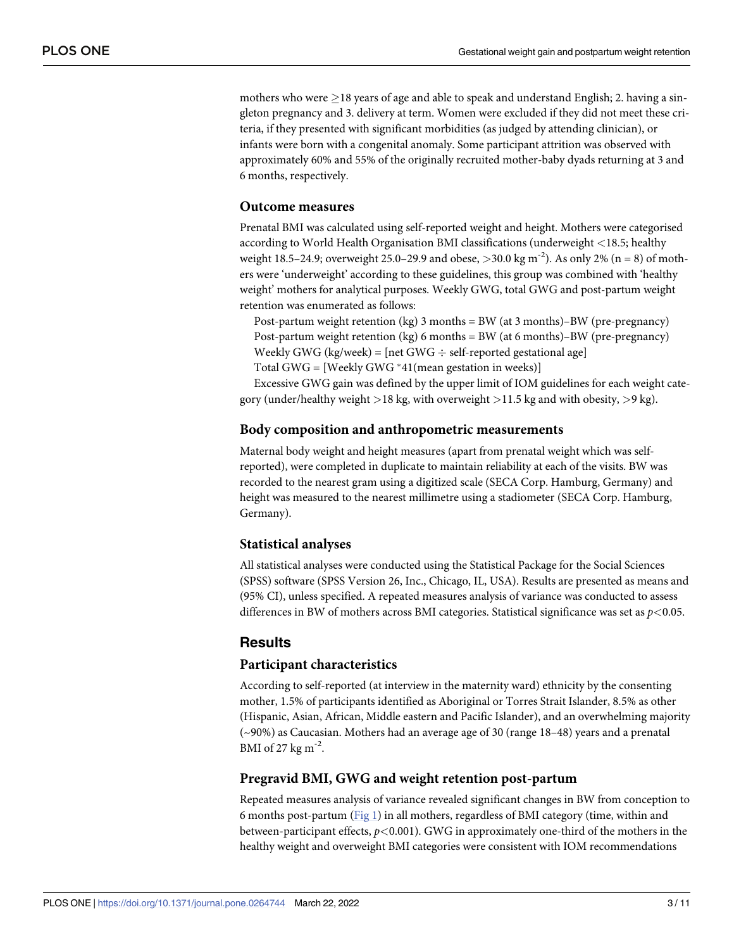<span id="page-2-0"></span>mothers who were  $>$ 18 years of age and able to speak and understand English; 2. having a singleton pregnancy and 3. delivery at term. Women were excluded if they did not meet these criteria, if they presented with significant morbidities (as judged by attending clinician), or infants were born with a congenital anomaly. Some participant attrition was observed with approximately 60% and 55% of the originally recruited mother-baby dyads returning at 3 and 6 months, respectively.

#### **Outcome measures**

Prenatal BMI was calculated using self-reported weight and height. Mothers were categorised according to World Health Organisation BMI classifications (underweight *<*18.5; healthy weight 18.5–24.9; overweight 25.0–29.9 and obese, *>*30.0 kg m-2). As only 2% (n = 8) of mothers were 'underweight' according to these guidelines, this group was combined with 'healthy weight' mothers for analytical purposes. Weekly GWG, total GWG and post-partum weight retention was enumerated as follows:

Post-partum weight retention (kg) 3 months = BW (at 3 months)–BW (pre-pregnancy) Post-partum weight retention (kg) 6 months = BW (at 6 months)–BW (pre-pregnancy) Weekly GWG (kg/week) = [net GWG  $\div$  self-reported gestational age]

Total GWG = [Weekly GWG  $*41$ (mean gestation in weeks)]

Excessive GWG gain was defined by the upper limit of IOM guidelines for each weight category (under/healthy weight *>*18 kg, with overweight *>*11.5 kg and with obesity, *>*9 kg).

#### **Body composition and anthropometric measurements**

Maternal body weight and height measures (apart from prenatal weight which was selfreported), were completed in duplicate to maintain reliability at each of the visits. BW was recorded to the nearest gram using a digitized scale (SECA Corp. Hamburg, Germany) and height was measured to the nearest millimetre using a stadiometer (SECA Corp. Hamburg, Germany).

#### **Statistical analyses**

All statistical analyses were conducted using the Statistical Package for the Social Sciences (SPSS) software (SPSS Version 26, Inc., Chicago, IL, USA). Results are presented as means and (95% CI), unless specified. A repeated measures analysis of variance was conducted to assess differences in BW of mothers across BMI categories. Statistical significance was set as *p<*0.05.

#### **Results**

#### **Participant characteristics**

According to self-reported (at interview in the maternity ward) ethnicity by the consenting mother, 1.5% of participants identified as Aboriginal or Torres Strait Islander, 8.5% as other (Hispanic, Asian, African, Middle eastern and Pacific Islander), and an overwhelming majority (~90%) as Caucasian. Mothers had an average age of 30 (range 18–48) years and a prenatal BMI of 27 kg  $\mathrm{m}^{-2}$ .

#### **Pregravid BMI, GWG and weight retention post-partum**

Repeated measures analysis of variance revealed significant changes in BW from conception to 6 months post-partum [\(Fig](#page-3-0) 1) in all mothers, regardless of BMI category (time, within and between-participant effects, *p<*0.001). GWG in approximately one-third of the mothers in the healthy weight and overweight BMI categories were consistent with IOM recommendations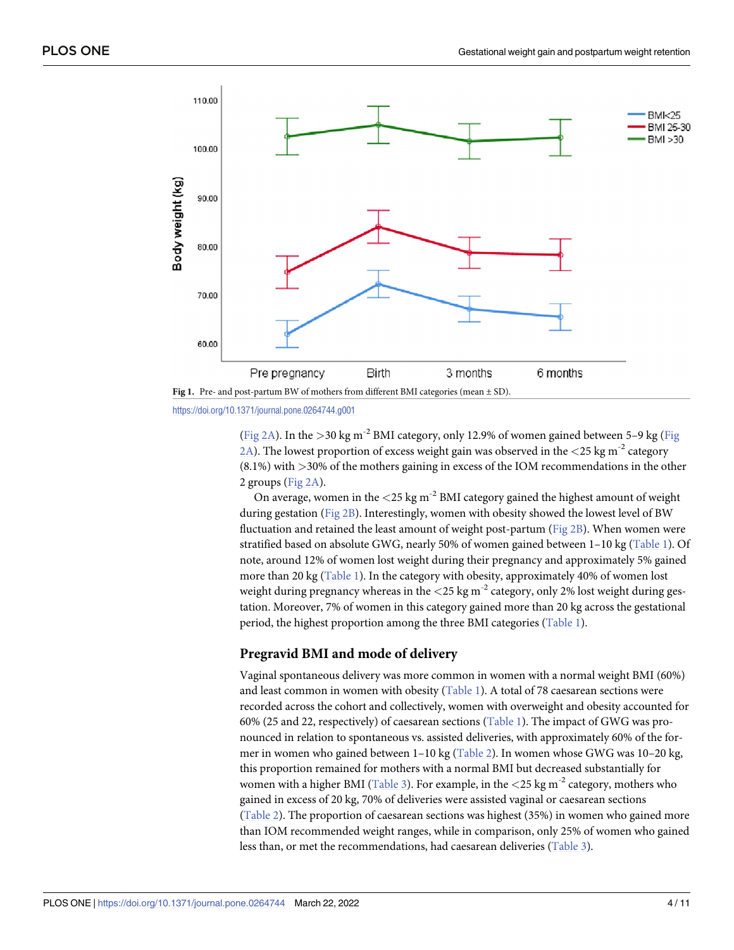<span id="page-3-0"></span>



[\(Fig](#page-4-0) 2A). In the *>*30 kg m-2 BMI category, only 12.9% of women gained between 5–9 kg [\(Fig](#page-4-0) [2A\)](#page-4-0). The lowest proportion of excess weight gain was observed in the *<*25 kg m-2 category (8.1%) with *>*30% of the mothers gaining in excess of the IOM recommendations in the other 2 groups [\(Fig](#page-4-0) 2A).

On average, women in the *<*25 kg m-2 BMI category gained the highest amount of weight during gestation ([Fig](#page-4-0) 2B). Interestingly, women with obesity showed the lowest level of BW fluctuation and retained the least amount of weight post-partum [\(Fig](#page-4-0) 2B). When women were stratified based on absolute GWG, nearly 50% of women gained between 1–10 kg [\(Table](#page-5-0) 1). Of note, around 12% of women lost weight during their pregnancy and approximately 5% gained more than 20 kg ([Table](#page-5-0) 1). In the category with obesity, approximately 40% of women lost weight during pregnancy whereas in the  $\langle$ 25 kg m<sup>-2</sup> category, only 2% lost weight during gestation. Moreover, 7% of women in this category gained more than 20 kg across the gestational period, the highest proportion among the three BMI categories [\(Table](#page-5-0) 1).

#### **Pregravid BMI and mode of delivery**

Vaginal spontaneous delivery was more common in women with a normal weight BMI (60%) and least common in women with obesity ([Table](#page-5-0) 1). A total of 78 caesarean sections were recorded across the cohort and collectively, women with overweight and obesity accounted for 60% (25 and 22, respectively) of caesarean sections [\(Table](#page-5-0) 1). The impact of GWG was pronounced in relation to spontaneous vs. assisted deliveries, with approximately 60% of the former in women who gained between 1–10 kg [\(Table](#page-5-0) 2). In women whose GWG was 10–20 kg, this proportion remained for mothers with a normal BMI but decreased substantially for women with a higher BMI [\(Table](#page-6-0) 3). For example, in the  $\langle 25 \text{ kg m}^2 \rangle$  category, mothers who gained in excess of 20 kg, 70% of deliveries were assisted vaginal or caesarean sections [\(Table](#page-5-0) 2). The proportion of caesarean sections was highest (35%) in women who gained more than IOM recommended weight ranges, while in comparison, only 25% of women who gained less than, or met the recommendations, had caesarean deliveries [\(Table](#page-6-0) 3).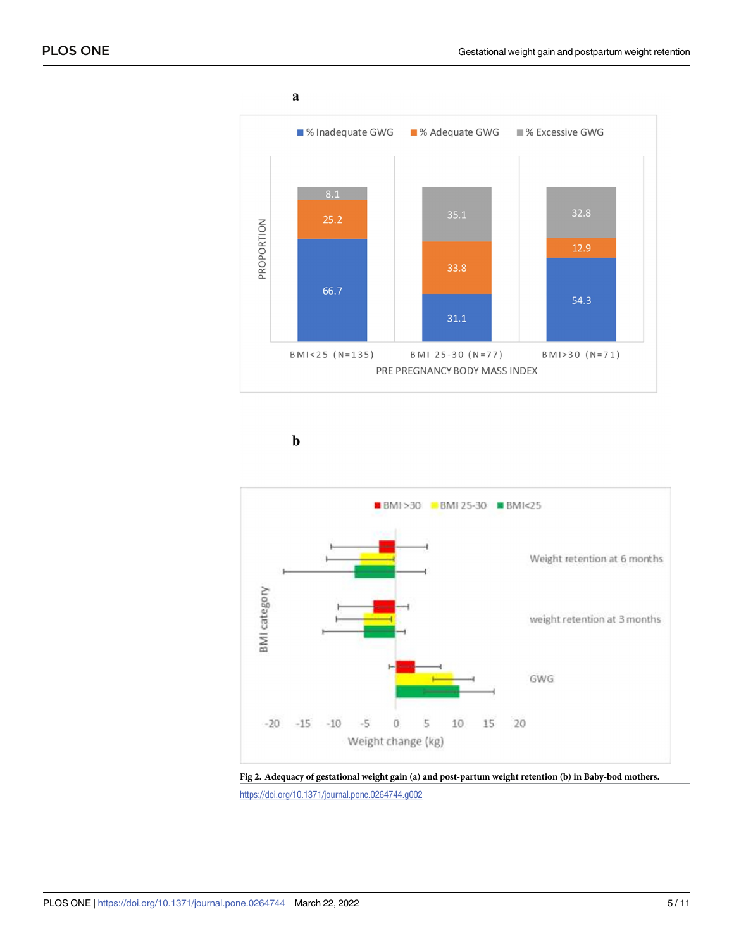<span id="page-4-0"></span>

 $\mathbf b$ 



**[Fig](#page-3-0) 2. Adequacy of gestational weight gain (a) and post-partum weight retention (b) in Baby-bod mothers.**

<https://doi.org/10.1371/journal.pone.0264744.g002>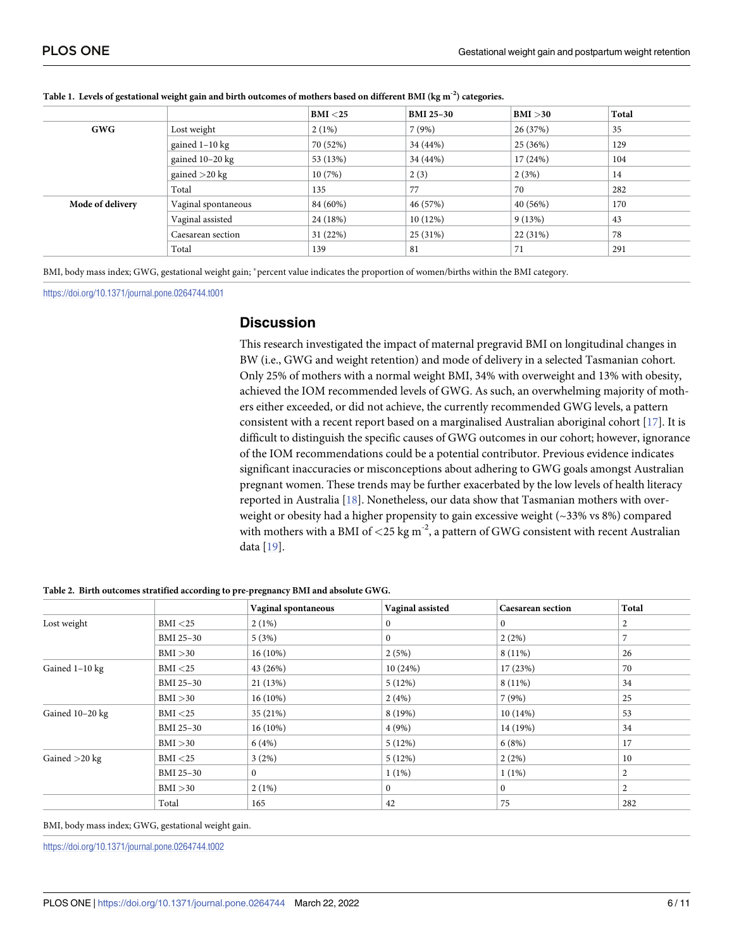|                  |                     | BMI < 25 | <b>BMI 25-30</b> | BMI > 30 | Total |
|------------------|---------------------|----------|------------------|----------|-------|
| <b>GWG</b>       | Lost weight         | 2(1%)    | 7(9%)            | 26 (37%) | 35    |
|                  | gained $1-10$ kg    | 70 (52%) | 34 (44%)         | 25 (36%) | 129   |
|                  | gained $10-20$ kg   | 53 (13%) | 34 (44%)         | 17 (24%) | 104   |
|                  | gained $>20$ kg     | 10(7%)   | 2(3)             | 2(3%)    | 14    |
|                  | Total               | 135      | 77               | 70       | 282   |
| Mode of delivery | Vaginal spontaneous | 84 (60%) | 46 (57%)         | 40 (56%) | 170   |
|                  | Vaginal assisted    | 24 (18%) | 10(12%)          | 9(13%)   | 43    |
|                  | Caesarean section   | 31(22%)  | 25 (31%)         | 22 (31%) | 78    |
|                  | Total               | 139      | 81               | 71       | 291   |

#### <span id="page-5-0"></span>[Table](#page-3-0) 1. Levels of gestational weight gain and birth outcomes of mothers based on different BMI ( $\text{kg m}^{-2}$ ) categories.

BMI, body mass index; GWG, gestational weight gain; \*percent value indicates the proportion of women/births within the BMI category.

<https://doi.org/10.1371/journal.pone.0264744.t001>

#### **Discussion**

This research investigated the impact of maternal pregravid BMI on longitudinal changes in BW (i.e., GWG and weight retention) and mode of delivery in a selected Tasmanian cohort. Only 25% of mothers with a normal weight BMI, 34% with overweight and 13% with obesity, achieved the IOM recommended levels of GWG. As such, an overwhelming majority of mothers either exceeded, or did not achieve, the currently recommended GWG levels, a pattern consistent with a recent report based on a marginalised Australian aboriginal cohort [[17](#page-9-0)]. It is difficult to distinguish the specific causes of GWG outcomes in our cohort; however, ignorance of the IOM recommendations could be a potential contributor. Previous evidence indicates significant inaccuracies or misconceptions about adhering to GWG goals amongst Australian pregnant women. These trends may be further exacerbated by the low levels of health literacy reported in Australia [[18](#page-9-0)]. Nonetheless, our data show that Tasmanian mothers with overweight or obesity had a higher propensity to gain excessive weight  $(\sim 33\% \text{ vs } 8\%)$  compared with mothers with a BMI of  $\langle 25 \text{ kg m}^2 \rangle$ , a pattern of GWG consistent with recent Australian data [[19](#page-9-0)].

|                 |           | Vaginal spontaneous | Vaginal assisted | <b>Caesarean section</b> | Total |
|-----------------|-----------|---------------------|------------------|--------------------------|-------|
| Lost weight     | BMI < 25  | $2(1\%)$            | $\mathbf{0}$     | $\Omega$                 | 2     |
|                 | BMI 25-30 | 5(3%)               | $\mathbf{0}$     | 2(2%)                    |       |
|                 | BMI > 30  | $16(10\%)$          | 2(5%)            | $8(11\%)$                | 26    |
| Gained 1-10 kg  | BMI < 25  | 43 (26%)            | 10(24%)          | 17 (23%)                 | 70    |
|                 | BMI 25-30 | 21 (13%)            | 5(12%)           | $8(11\%)$                | 34    |
|                 | BMI > 30  | $16(10\%)$          | 2(4%)            | 7(9%)                    | 25    |
| Gained 10-20 kg | BMI < 25  | 35 (21%)            | 8(19%)           | 10(14%)                  | 53    |
|                 | BMI 25-30 | $16(10\%)$          | 4(9%)            | 14 (19%)                 | 34    |
|                 | BMI > 30  | 6(4%)               | 5(12%)           | 6(8%)                    | 17    |
| Gained $>20$ kg | BMI < 25  | 3(2%)               | 5(12%)           | 2(2%)                    | 10    |
|                 | BMI 25-30 | $\Omega$            | $1(1\%)$         | $1(1\%)$                 | 2     |
|                 | BMI > 30  | $2(1\%)$            | $\mathbf{0}$     | $\mathbf{0}$             | 2     |
|                 | Total     | 165                 | 42               | 75                       | 282   |

**[Table](#page-3-0) 2. Birth outcomes stratified according to pre-pregnancy BMI and absolute GWG.**

BMI, body mass index; GWG, gestational weight gain.

<https://doi.org/10.1371/journal.pone.0264744.t002>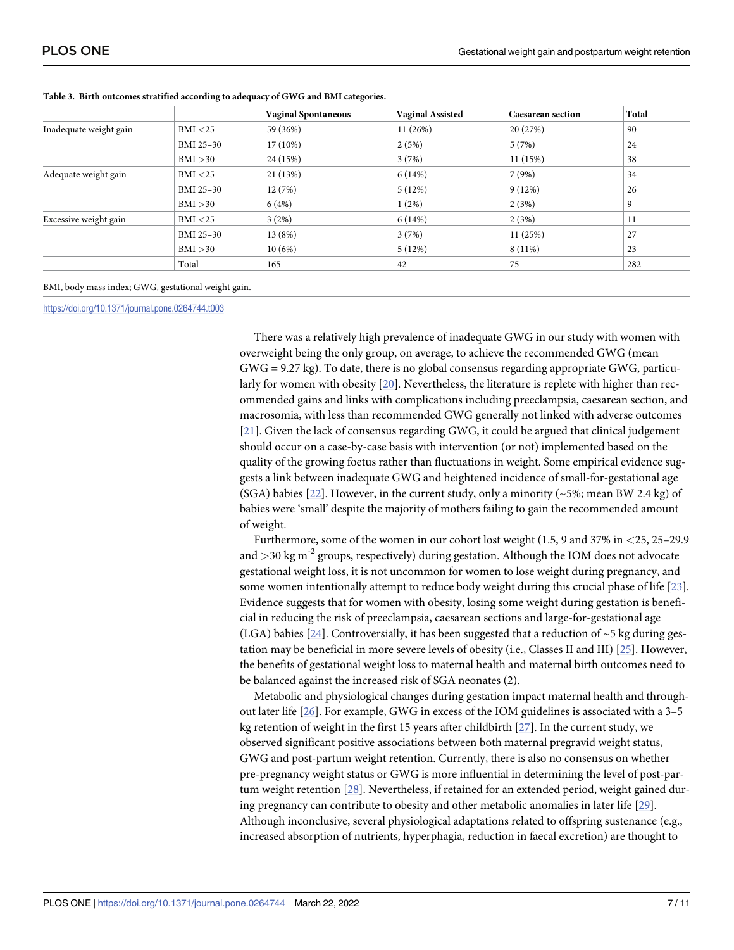|                        |           | <b>Vaginal Spontaneous</b> | <b>Vaginal Assisted</b> | <b>Caesarean section</b> | Total |
|------------------------|-----------|----------------------------|-------------------------|--------------------------|-------|
| Inadequate weight gain | BMI < 25  | 59 (36%)                   | 11 (26%)                | 20 (27%)                 | 90    |
|                        | BMI 25-30 | $17(10\%)$                 | 2(5%)                   | 5(7%)                    | 24    |
|                        | BMI > 30  | 24 (15%)                   | 3(7%)                   | 11(15%)                  | 38    |
| Adequate weight gain   | BMI < 25  | 21 (13%)                   | 6(14%)                  | 7(9%)                    | 34    |
|                        | BMI 25-30 | 12(7%)                     | 5(12%)                  | 9(12%)                   | 26    |
|                        | BMI > 30  | 6(4%)                      | 1(2%)                   | 2(3%)                    | 9     |
| Excessive weight gain  | BMI < 25  | 3(2%)                      | 6(14%)                  | 2(3%)                    | 11    |
|                        | BMI 25-30 | 13(8%)                     | 3(7%)                   | 11(25%)                  | 27    |
|                        | BMI > 30  | 10(6%)                     | 5(12%)                  | $8(11\%)$                | 23    |
|                        | Total     | 165                        | 42                      | 75                       | 282   |

<span id="page-6-0"></span>**[Table](#page-3-0) 3. Birth outcomes stratified according to adequacy of GWG and BMI categories.**

BMI, body mass index; GWG, gestational weight gain.

<https://doi.org/10.1371/journal.pone.0264744.t003>

There was a relatively high prevalence of inadequate GWG in our study with women with overweight being the only group, on average, to achieve the recommended GWG (mean GWG = 9.27 kg). To date, there is no global consensus regarding appropriate GWG, particularly for women with obesity [\[20\]](#page-9-0). Nevertheless, the literature is replete with higher than recommended gains and links with complications including preeclampsia, caesarean section, and macrosomia, with less than recommended GWG generally not linked with adverse outcomes [\[21\]](#page-9-0). Given the lack of consensus regarding GWG, it could be argued that clinical judgement should occur on a case-by-case basis with intervention (or not) implemented based on the quality of the growing foetus rather than fluctuations in weight. Some empirical evidence suggests a link between inadequate GWG and heightened incidence of small-for-gestational age (SGA) babies [\[22\]](#page-9-0). However, in the current study, only a minority ( $\sim$  5%; mean BW 2.4 kg) of babies were 'small' despite the majority of mothers failing to gain the recommended amount of weight.

Furthermore, some of the women in our cohort lost weight (1.5, 9 and 37% in *<*25, 25–29.9 and  $>$ 30 kg m<sup>-2</sup> groups, respectively) during gestation. Although the IOM does not advocate gestational weight loss, it is not uncommon for women to lose weight during pregnancy, and some women intentionally attempt to reduce body weight during this crucial phase of life [[23](#page-9-0)]. Evidence suggests that for women with obesity, losing some weight during gestation is beneficial in reducing the risk of preeclampsia, caesarean sections and large-for-gestational age (LGA) babies [\[24](#page-9-0)]. Controversially, it has been suggested that a reduction of  $\sim$  5 kg during gestation may be beneficial in more severe levels of obesity (i.e., Classes II and III) [\[25\]](#page-9-0). However, the benefits of gestational weight loss to maternal health and maternal birth outcomes need to be balanced against the increased risk of SGA neonates (2).

Metabolic and physiological changes during gestation impact maternal health and throughout later life [\[26\]](#page-9-0). For example, GWG in excess of the IOM guidelines is associated with a 3–5 kg retention of weight in the first 15 years after childbirth [[27](#page-9-0)]. In the current study, we observed significant positive associations between both maternal pregravid weight status, GWG and post-partum weight retention. Currently, there is also no consensus on whether pre-pregnancy weight status or GWG is more influential in determining the level of post-partum weight retention [\[28\]](#page-10-0). Nevertheless, if retained for an extended period, weight gained during pregnancy can contribute to obesity and other metabolic anomalies in later life [[29](#page-10-0)]. Although inconclusive, several physiological adaptations related to offspring sustenance (e.g., increased absorption of nutrients, hyperphagia, reduction in faecal excretion) are thought to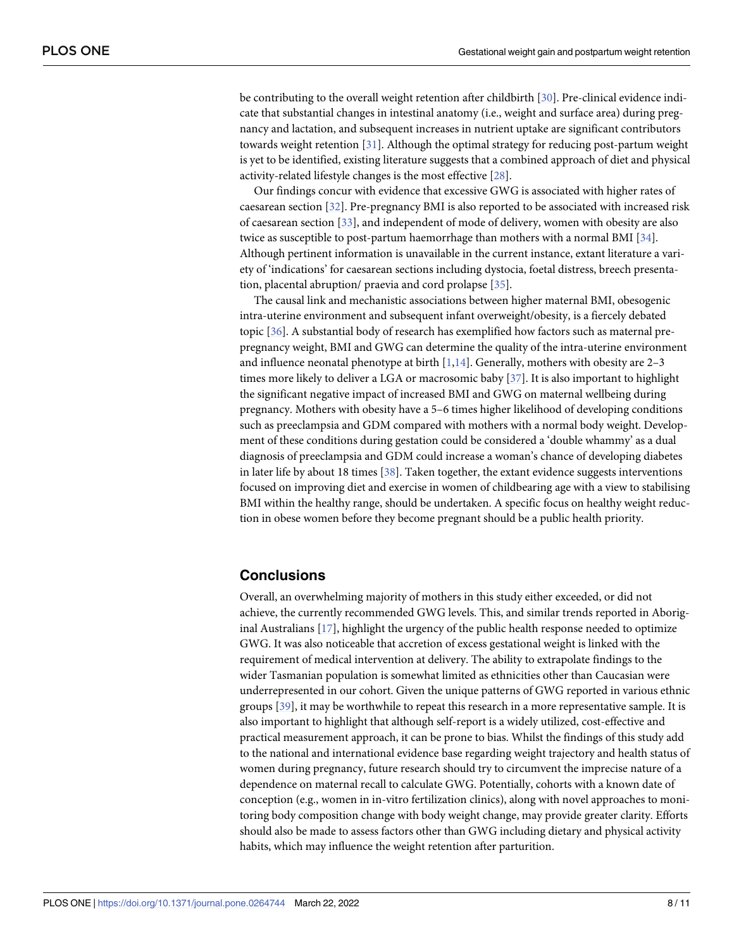<span id="page-7-0"></span>be contributing to the overall weight retention after childbirth [[30\]](#page-10-0). Pre-clinical evidence indicate that substantial changes in intestinal anatomy (i.e., weight and surface area) during pregnancy and lactation, and subsequent increases in nutrient uptake are significant contributors towards weight retention  $[31]$ . Although the optimal strategy for reducing post-partum weight is yet to be identified, existing literature suggests that a combined approach of diet and physical activity-related lifestyle changes is the most effective [\[28\]](#page-10-0).

Our findings concur with evidence that excessive GWG is associated with higher rates of caesarean section [[32](#page-10-0)]. Pre-pregnancy BMI is also reported to be associated with increased risk of caesarean section [[33](#page-10-0)], and independent of mode of delivery, women with obesity are also twice as susceptible to post-partum haemorrhage than mothers with a normal BMI [\[34\]](#page-10-0). Although pertinent information is unavailable in the current instance, extant literature a variety of 'indications' for caesarean sections including dystocia, foetal distress, breech presentation, placental abruption/ praevia and cord prolapse [\[35\]](#page-10-0).

The causal link and mechanistic associations between higher maternal BMI, obesogenic intra-uterine environment and subsequent infant overweight/obesity, is a fiercely debated topic [[36](#page-10-0)]. A substantial body of research has exemplified how factors such as maternal prepregnancy weight, BMI and GWG can determine the quality of the intra-uterine environment and influence neonatal phenotype at birth  $[1,14]$  $[1,14]$ . Generally, mothers with obesity are 2-3 times more likely to deliver a LGA or macrosomic baby [[37](#page-10-0)]. It is also important to highlight the significant negative impact of increased BMI and GWG on maternal wellbeing during pregnancy. Mothers with obesity have a 5–6 times higher likelihood of developing conditions such as preeclampsia and GDM compared with mothers with a normal body weight. Development of these conditions during gestation could be considered a 'double whammy' as a dual diagnosis of preeclampsia and GDM could increase a woman's chance of developing diabetes in later life by about 18 times [\[38\]](#page-10-0). Taken together, the extant evidence suggests interventions focused on improving diet and exercise in women of childbearing age with a view to stabilising BMI within the healthy range, should be undertaken. A specific focus on healthy weight reduction in obese women before they become pregnant should be a public health priority.

# **Conclusions**

Overall, an overwhelming majority of mothers in this study either exceeded, or did not achieve, the currently recommended GWG levels. This, and similar trends reported in Aboriginal Australians [\[17\]](#page-9-0), highlight the urgency of the public health response needed to optimize GWG. It was also noticeable that accretion of excess gestational weight is linked with the requirement of medical intervention at delivery. The ability to extrapolate findings to the wider Tasmanian population is somewhat limited as ethnicities other than Caucasian were underrepresented in our cohort. Given the unique patterns of GWG reported in various ethnic groups [\[39\]](#page-10-0), it may be worthwhile to repeat this research in a more representative sample. It is also important to highlight that although self-report is a widely utilized, cost-effective and practical measurement approach, it can be prone to bias. Whilst the findings of this study add to the national and international evidence base regarding weight trajectory and health status of women during pregnancy, future research should try to circumvent the imprecise nature of a dependence on maternal recall to calculate GWG. Potentially, cohorts with a known date of conception (e.g., women in in-vitro fertilization clinics), along with novel approaches to monitoring body composition change with body weight change, may provide greater clarity. Efforts should also be made to assess factors other than GWG including dietary and physical activity habits, which may influence the weight retention after parturition.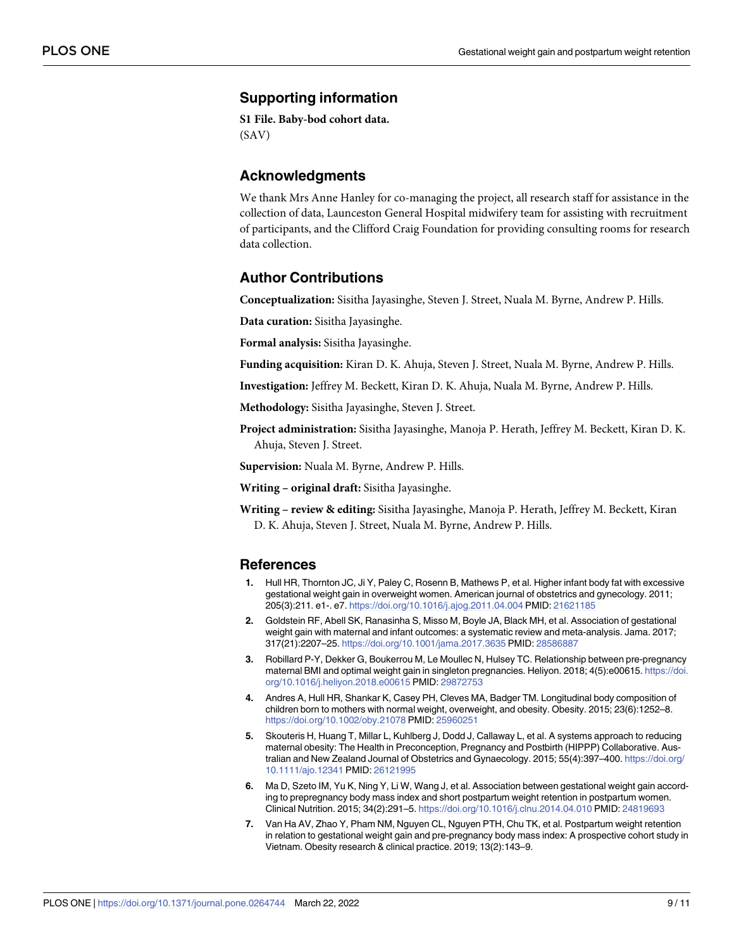# <span id="page-8-0"></span>**Supporting information**

**S1 [File.](http://www.plosone.org/article/fetchSingleRepresentation.action?uri=info:doi/10.1371/journal.pone.0264744.s001) Baby-bod cohort data.** (SAV)

### **Acknowledgments**

We thank Mrs Anne Hanley for co-managing the project, all research staff for assistance in the collection of data, Launceston General Hospital midwifery team for assisting with recruitment of participants, and the Clifford Craig Foundation for providing consulting rooms for research data collection.

#### **Author Contributions**

**Conceptualization:** Sisitha Jayasinghe, Steven J. Street, Nuala M. Byrne, Andrew P. Hills.

**Data curation:** Sisitha Jayasinghe.

**Formal analysis:** Sisitha Jayasinghe.

**Funding acquisition:** Kiran D. K. Ahuja, Steven J. Street, Nuala M. Byrne, Andrew P. Hills.

**Investigation:** Jeffrey M. Beckett, Kiran D. K. Ahuja, Nuala M. Byrne, Andrew P. Hills.

**Methodology:** Sisitha Jayasinghe, Steven J. Street.

**Project administration:** Sisitha Jayasinghe, Manoja P. Herath, Jeffrey M. Beckett, Kiran D. K. Ahuja, Steven J. Street.

**Supervision:** Nuala M. Byrne, Andrew P. Hills.

**Writing – original draft:** Sisitha Jayasinghe.

**Writing – review & editing:** Sisitha Jayasinghe, Manoja P. Herath, Jeffrey M. Beckett, Kiran D. K. Ahuja, Steven J. Street, Nuala M. Byrne, Andrew P. Hills.

#### **References**

- **[1](#page-0-0).** Hull HR, Thornton JC, Ji Y, Paley C, Rosenn B, Mathews P, et al. Higher infant body fat with excessive gestational weight gain in overweight women. American journal of obstetrics and gynecology. 2011; 205(3):211. e1-. e7. <https://doi.org/10.1016/j.ajog.2011.04.004> PMID: [21621185](http://www.ncbi.nlm.nih.gov/pubmed/21621185)
- **[2](#page-1-0).** Goldstein RF, Abell SK, Ranasinha S, Misso M, Boyle JA, Black MH, et al. Association of gestational weight gain with maternal and infant outcomes: a systematic review and meta-analysis. Jama. 2017; 317(21):2207–25. <https://doi.org/10.1001/jama.2017.3635> PMID: [28586887](http://www.ncbi.nlm.nih.gov/pubmed/28586887)
- **[3](#page-1-0).** Robillard P-Y, Dekker G, Boukerrou M, Le Moullec N, Hulsey TC. Relationship between pre-pregnancy maternal BMI and optimal weight gain in singleton pregnancies. Heliyon. 2018; 4(5):e00615. [https://doi.](https://doi.org/10.1016/j.heliyon.2018.e00615) [org/10.1016/j.heliyon.2018.e00615](https://doi.org/10.1016/j.heliyon.2018.e00615) PMID: [29872753](http://www.ncbi.nlm.nih.gov/pubmed/29872753)
- **[4](#page-1-0).** Andres A, Hull HR, Shankar K, Casey PH, Cleves MA, Badger TM. Longitudinal body composition of children born to mothers with normal weight, overweight, and obesity. Obesity. 2015; 23(6):1252–8. <https://doi.org/10.1002/oby.21078> PMID: [25960251](http://www.ncbi.nlm.nih.gov/pubmed/25960251)
- **[5](#page-1-0).** Skouteris H, Huang T, Millar L, Kuhlberg J, Dodd J, Callaway L, et al. A systems approach to reducing maternal obesity: The Health in Preconception, Pregnancy and Postbirth (HIPPP) Collaborative. Australian and New Zealand Journal of Obstetrics and Gynaecology. 2015; 55(4):397–400. [https://doi.org/](https://doi.org/10.1111/ajo.12341) [10.1111/ajo.12341](https://doi.org/10.1111/ajo.12341) PMID: [26121995](http://www.ncbi.nlm.nih.gov/pubmed/26121995)
- **[6](#page-1-0).** Ma D, Szeto IM, Yu K, Ning Y, Li W, Wang J, et al. Association between gestational weight gain according to prepregnancy body mass index and short postpartum weight retention in postpartum women. Clinical Nutrition. 2015; 34(2):291–5. <https://doi.org/10.1016/j.clnu.2014.04.010> PMID: [24819693](http://www.ncbi.nlm.nih.gov/pubmed/24819693)
- **[7](#page-1-0).** Van Ha AV, Zhao Y, Pham NM, Nguyen CL, Nguyen PTH, Chu TK, et al. Postpartum weight retention in relation to gestational weight gain and pre-pregnancy body mass index: A prospective cohort study in Vietnam. Obesity research & clinical practice. 2019; 13(2):143–9.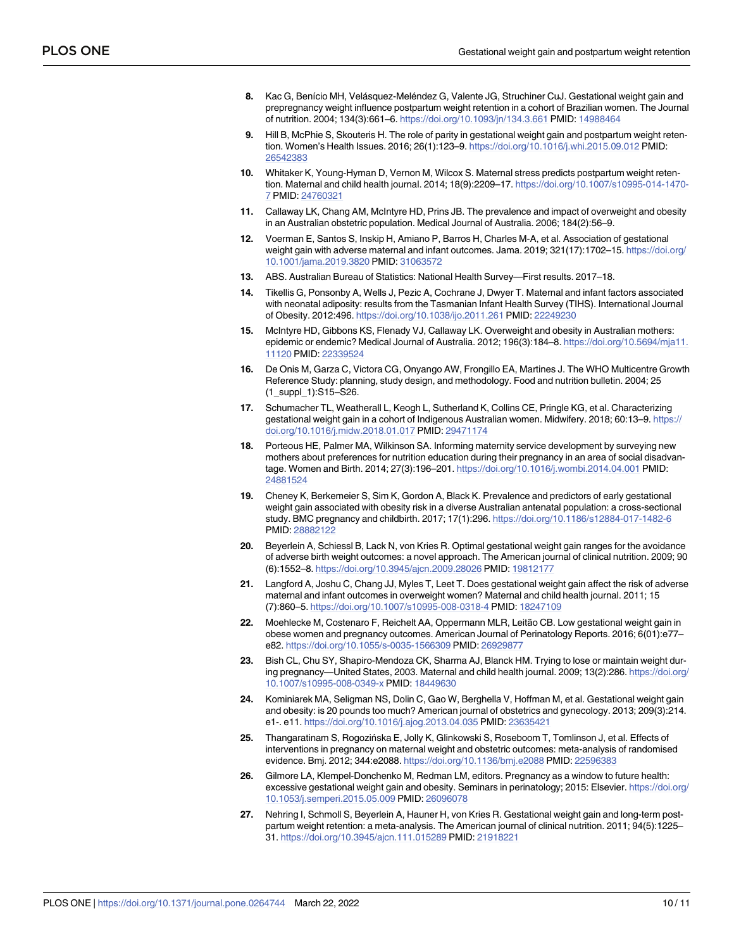- <span id="page-9-0"></span>**[8](#page-1-0).** Kac G, Benício MH, Velásquez-Meléndez G, Valente JG, Struchiner CuJ. Gestational weight gain and prepregnancy weight influence postpartum weight retention in a cohort of Brazilian women. The Journal of nutrition. 2004; 134(3):661–6. <https://doi.org/10.1093/jn/134.3.661> PMID: [14988464](http://www.ncbi.nlm.nih.gov/pubmed/14988464)
- **[9](#page-1-0).** Hill B, McPhie S, Skouteris H. The role of parity in gestational weight gain and postpartum weight retention. Women's Health Issues. 2016; 26(1):123–9. <https://doi.org/10.1016/j.whi.2015.09.012> PMID: [26542383](http://www.ncbi.nlm.nih.gov/pubmed/26542383)
- **[10](#page-1-0).** Whitaker K, Young-Hyman D, Vernon M, Wilcox S. Maternal stress predicts postpartum weight retention. Maternal and child health journal. 2014; 18(9):2209–17. [https://doi.org/10.1007/s10995-014-1470-](https://doi.org/10.1007/s10995-014-1470-7) [7](https://doi.org/10.1007/s10995-014-1470-7) PMID: [24760321](http://www.ncbi.nlm.nih.gov/pubmed/24760321)
- **[11](#page-1-0).** Callaway LK, Chang AM, McIntyre HD, Prins JB. The prevalence and impact of overweight and obesity in an Australian obstetric population. Medical Journal of Australia. 2006; 184(2):56–9.
- **[12](#page-1-0).** Voerman E, Santos S, Inskip H, Amiano P, Barros H, Charles M-A, et al. Association of gestational weight gain with adverse maternal and infant outcomes. Jama. 2019; 321(17):1702–15. [https://doi.org/](https://doi.org/10.1001/jama.2019.3820) [10.1001/jama.2019.3820](https://doi.org/10.1001/jama.2019.3820) PMID: [31063572](http://www.ncbi.nlm.nih.gov/pubmed/31063572)
- **[13](#page-1-0).** ABS. Australian Bureau of Statistics: National Health Survey—First results. 2017–18.
- **[14](#page-1-0).** Tikellis G, Ponsonby A, Wells J, Pezic A, Cochrane J, Dwyer T. Maternal and infant factors associated with neonatal adiposity: results from the Tasmanian Infant Health Survey (TIHS). International Journal of Obesity. 2012:496. <https://doi.org/10.1038/ijo.2011.261> PMID: [22249230](http://www.ncbi.nlm.nih.gov/pubmed/22249230)
- **[15](#page-1-0).** McIntyre HD, Gibbons KS, Flenady VJ, Callaway LK. Overweight and obesity in Australian mothers: epidemic or endemic? Medical Journal of Australia. 2012; 196(3):184–8. [https://doi.org/10.5694/mja11.](https://doi.org/10.5694/mja11.11120) [11120](https://doi.org/10.5694/mja11.11120) PMID: [22339524](http://www.ncbi.nlm.nih.gov/pubmed/22339524)
- **[16](#page-1-0).** De Onis M, Garza C, Victora CG, Onyango AW, Frongillo EA, Martines J. The WHO Multicentre Growth Reference Study: planning, study design, and methodology. Food and nutrition bulletin. 2004; 25 (1\_suppl\_1):S15–S26.
- **[17](#page-5-0).** Schumacher TL, Weatherall L, Keogh L, Sutherland K, Collins CE, Pringle KG, et al. Characterizing gestational weight gain in a cohort of Indigenous Australian women. Midwifery. 2018; 60:13–9. [https://](https://doi.org/10.1016/j.midw.2018.01.017) [doi.org/10.1016/j.midw.2018.01.017](https://doi.org/10.1016/j.midw.2018.01.017) PMID: [29471174](http://www.ncbi.nlm.nih.gov/pubmed/29471174)
- **[18](#page-5-0).** Porteous HE, Palmer MA, Wilkinson SA. Informing maternity service development by surveying new mothers about preferences for nutrition education during their pregnancy in an area of social disadvantage. Women and Birth. 2014; 27(3):196–201. <https://doi.org/10.1016/j.wombi.2014.04.001> PMID: [24881524](http://www.ncbi.nlm.nih.gov/pubmed/24881524)
- **[19](#page-5-0).** Cheney K, Berkemeier S, Sim K, Gordon A, Black K. Prevalence and predictors of early gestational weight gain associated with obesity risk in a diverse Australian antenatal population: a cross-sectional study. BMC pregnancy and childbirth. 2017; 17(1):296. <https://doi.org/10.1186/s12884-017-1482-6> PMID: [28882122](http://www.ncbi.nlm.nih.gov/pubmed/28882122)
- **[20](#page-6-0).** Beyerlein A, Schiessl B, Lack N, von Kries R. Optimal gestational weight gain ranges for the avoidance of adverse birth weight outcomes: a novel approach. The American journal of clinical nutrition. 2009; 90 (6):1552–8. <https://doi.org/10.3945/ajcn.2009.28026> PMID: [19812177](http://www.ncbi.nlm.nih.gov/pubmed/19812177)
- **[21](#page-6-0).** Langford A, Joshu C, Chang JJ, Myles T, Leet T. Does gestational weight gain affect the risk of adverse maternal and infant outcomes in overweight women? Maternal and child health journal. 2011; 15 (7):860–5. <https://doi.org/10.1007/s10995-008-0318-4> PMID: [18247109](http://www.ncbi.nlm.nih.gov/pubmed/18247109)
- **[22](#page-6-0).** Moehlecke M, Costenaro F, Reichelt AA, Oppermann MLR, Leitão CB. Low gestational weight gain in obese women and pregnancy outcomes. American Journal of Perinatology Reports. 2016; 6(01):e77– e82. <https://doi.org/10.1055/s-0035-1566309> PMID: [26929877](http://www.ncbi.nlm.nih.gov/pubmed/26929877)
- **[23](#page-6-0).** Bish CL, Chu SY, Shapiro-Mendoza CK, Sharma AJ, Blanck HM. Trying to lose or maintain weight during pregnancy—United States, 2003. Maternal and child health journal. 2009; 13(2):286. [https://doi.org/](https://doi.org/10.1007/s10995-008-0349-x) [10.1007/s10995-008-0349-x](https://doi.org/10.1007/s10995-008-0349-x) PMID: [18449630](http://www.ncbi.nlm.nih.gov/pubmed/18449630)
- **[24](#page-6-0).** Kominiarek MA, Seligman NS, Dolin C, Gao W, Berghella V, Hoffman M, et al. Gestational weight gain and obesity: is 20 pounds too much? American journal of obstetrics and gynecology. 2013; 209(3):214. e1-. e11. <https://doi.org/10.1016/j.ajog.2013.04.035> PMID: [23635421](http://www.ncbi.nlm.nih.gov/pubmed/23635421)
- **[25](#page-6-0).** Thangaratinam S, Rogozińska E, Jolly K, Glinkowski S, Roseboom T, Tomlinson J, et al. Effects of interventions in pregnancy on maternal weight and obstetric outcomes: meta-analysis of randomised evidence. Bmj. 2012; 344:e2088. <https://doi.org/10.1136/bmj.e2088> PMID: [22596383](http://www.ncbi.nlm.nih.gov/pubmed/22596383)
- **[26](#page-6-0).** Gilmore LA, Klempel-Donchenko M, Redman LM, editors. Pregnancy as a window to future health: excessive gestational weight gain and obesity. Seminars in perinatology; 2015: Elsevier. [https://doi.org/](https://doi.org/10.1053/j.semperi.2015.05.009) [10.1053/j.semperi.2015.05.009](https://doi.org/10.1053/j.semperi.2015.05.009) PMID: [26096078](http://www.ncbi.nlm.nih.gov/pubmed/26096078)
- **[27](#page-6-0).** Nehring I, Schmoll S, Beyerlein A, Hauner H, von Kries R. Gestational weight gain and long-term postpartum weight retention: a meta-analysis. The American journal of clinical nutrition. 2011; 94(5):1225– 31. <https://doi.org/10.3945/ajcn.111.015289> PMID: [21918221](http://www.ncbi.nlm.nih.gov/pubmed/21918221)